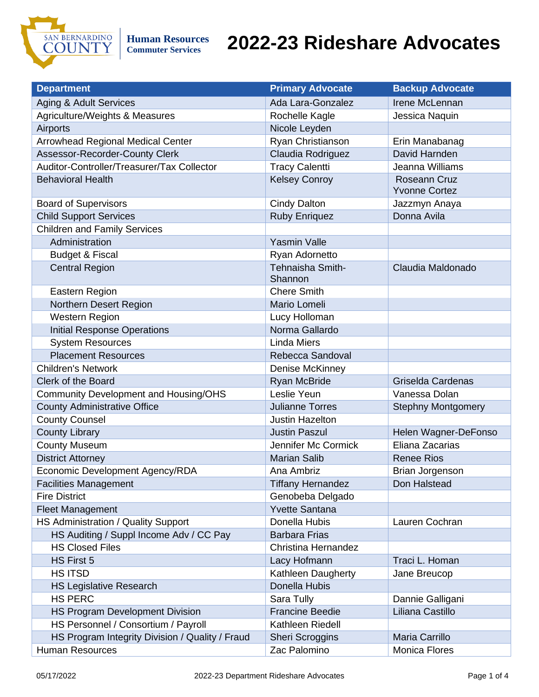

**Commuter Services**

| <b>Department</b>                               | <b>Primary Advocate</b>     | <b>Backup Advocate</b>               |
|-------------------------------------------------|-----------------------------|--------------------------------------|
| Aging & Adult Services                          | Ada Lara-Gonzalez           | Irene McLennan                       |
| Agriculture/Weights & Measures                  | Rochelle Kagle              | Jessica Naquin                       |
| Airports                                        | Nicole Leyden               |                                      |
| <b>Arrowhead Regional Medical Center</b>        | Ryan Christianson           | Erin Manabanag                       |
| Assessor-Recorder-County Clerk                  | Claudia Rodriguez           | David Harnden                        |
| Auditor-Controller/Treasurer/Tax Collector      | <b>Tracy Calentti</b>       | Jeanna Williams                      |
| <b>Behavioral Health</b>                        | <b>Kelsey Conroy</b>        | Roseann Cruz<br><b>Yvonne Cortez</b> |
| <b>Board of Supervisors</b>                     | <b>Cindy Dalton</b>         | Jazzmyn Anaya                        |
| <b>Child Support Services</b>                   | <b>Ruby Enriquez</b>        | Donna Avila                          |
| <b>Children and Family Services</b>             |                             |                                      |
| Administration                                  | <b>Yasmin Valle</b>         |                                      |
| <b>Budget &amp; Fiscal</b>                      | Ryan Adornetto              |                                      |
| <b>Central Region</b>                           | Tehnaisha Smith-<br>Shannon | Claudia Maldonado                    |
| Eastern Region                                  | <b>Chere Smith</b>          |                                      |
| Northern Desert Region                          | Mario Lomeli                |                                      |
| Western Region                                  | Lucy Holloman               |                                      |
| <b>Initial Response Operations</b>              | Norma Gallardo              |                                      |
| <b>System Resources</b>                         | <b>Linda Miers</b>          |                                      |
| <b>Placement Resources</b>                      | Rebecca Sandoval            |                                      |
| <b>Children's Network</b>                       | Denise McKinney             |                                      |
| Clerk of the Board                              | <b>Ryan McBride</b>         | Griselda Cardenas                    |
| <b>Community Development and Housing/OHS</b>    | Leslie Yeun                 | Vanessa Dolan                        |
| <b>County Administrative Office</b>             | <b>Julianne Torres</b>      | <b>Stephny Montgomery</b>            |
| <b>County Counsel</b>                           | <b>Justin Hazelton</b>      |                                      |
| <b>County Library</b>                           | <b>Justin Paszul</b>        | Helen Wagner-DeFonso                 |
| <b>County Museum</b>                            | Jennifer Mc Cormick         | Eliana Zacarias                      |
| <b>District Attorney</b>                        | <b>Marian Salib</b>         | <b>Renee Rios</b>                    |
| Economic Development Agency/RDA                 | Ana Ambriz                  | <b>Brian Jorgenson</b>               |
| <b>Facilities Management</b>                    | <b>Tiffany Hernandez</b>    | Don Halstead                         |
| <b>Fire District</b>                            | Genobeba Delgado            |                                      |
| <b>Fleet Management</b>                         | <b>Yvette Santana</b>       |                                      |
| HS Administration / Quality Support             | Donella Hubis               | Lauren Cochran                       |
| HS Auditing / Suppl Income Adv / CC Pay         | <b>Barbara Frias</b>        |                                      |
| <b>HS Closed Files</b>                          | Christina Hernandez         |                                      |
| HS First 5                                      | Lacy Hofmann                | Traci L. Homan                       |
| <b>HS ITSD</b>                                  | Kathleen Daugherty          | Jane Breucop                         |
| <b>HS Legislative Research</b>                  | Donella Hubis               |                                      |
| <b>HS PERC</b>                                  | Sara Tully                  | Dannie Galligani                     |
| HS Program Development Division                 | <b>Francine Beedie</b>      | Liliana Castillo                     |
| HS Personnel / Consortium / Payroll             | Kathleen Riedell            |                                      |
| HS Program Integrity Division / Quality / Fraud | <b>Sheri Scroggins</b>      | Maria Carrillo                       |
| <b>Human Resources</b>                          | Zac Palomino                | Monica Flores                        |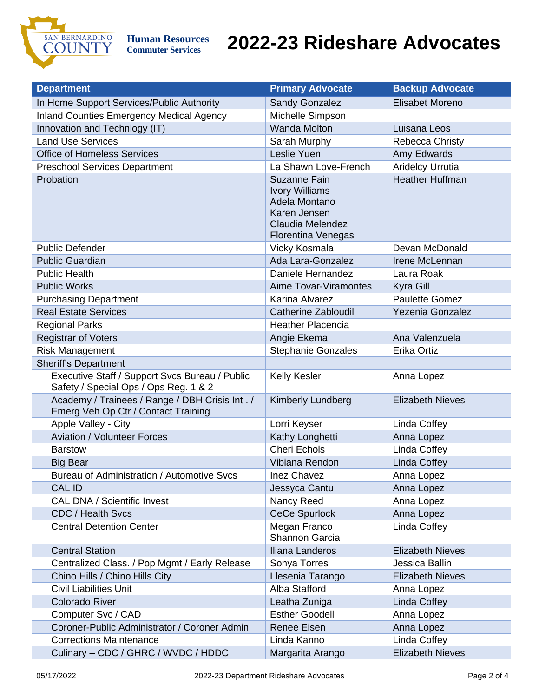

| <b>Department</b>                                                                       | <b>Primary Advocate</b>                                                                                                 | <b>Backup Advocate</b>  |
|-----------------------------------------------------------------------------------------|-------------------------------------------------------------------------------------------------------------------------|-------------------------|
| In Home Support Services/Public Authority                                               | <b>Sandy Gonzalez</b>                                                                                                   | Elisabet Moreno         |
| <b>Inland Counties Emergency Medical Agency</b>                                         | Michelle Simpson                                                                                                        |                         |
| Innovation and Technlogy (IT)                                                           | <b>Wanda Molton</b>                                                                                                     | Luisana Leos            |
| <b>Land Use Services</b>                                                                | Sarah Murphy                                                                                                            | Rebecca Christy         |
| <b>Office of Homeless Services</b>                                                      | Leslie Yuen                                                                                                             | Amy Edwards             |
| <b>Preschool Services Department</b>                                                    | La Shawn Love-French                                                                                                    | <b>Aridelcy Urrutia</b> |
| Probation                                                                               | Suzanne Fain<br><b>Ivory Williams</b><br>Adela Montano<br>Karen Jensen<br>Claudia Melendez<br><b>Florentina Venegas</b> | <b>Heather Huffman</b>  |
| <b>Public Defender</b>                                                                  | Vicky Kosmala                                                                                                           | Devan McDonald          |
| <b>Public Guardian</b>                                                                  | Ada Lara-Gonzalez                                                                                                       | Irene McLennan          |
| <b>Public Health</b>                                                                    | Daniele Hernandez                                                                                                       | Laura Roak              |
| <b>Public Works</b>                                                                     | Aime Tovar-Viramontes                                                                                                   | Kyra Gill               |
| <b>Purchasing Department</b>                                                            | Karina Alvarez                                                                                                          | <b>Paulette Gomez</b>   |
| <b>Real Estate Services</b>                                                             | <b>Catherine Zabloudil</b>                                                                                              | Yezenia Gonzalez        |
| <b>Regional Parks</b>                                                                   | <b>Heather Placencia</b>                                                                                                |                         |
| <b>Registrar of Voters</b>                                                              | Angie Ekema                                                                                                             | Ana Valenzuela          |
| <b>Risk Management</b>                                                                  | <b>Stephanie Gonzales</b>                                                                                               | Erika Ortiz             |
| <b>Sheriff's Department</b>                                                             |                                                                                                                         |                         |
| Executive Staff / Support Svcs Bureau / Public<br>Safety / Special Ops / Ops Reg. 1 & 2 | Kelly Kesler                                                                                                            | Anna Lopez              |
| Academy / Trainees / Range / DBH Crisis Int. /<br>Emerg Veh Op Ctr / Contact Training   | Kimberly Lundberg                                                                                                       | <b>Elizabeth Nieves</b> |
| Apple Valley - City                                                                     | Lorri Keyser                                                                                                            | Linda Coffey            |
| <b>Aviation / Volunteer Forces</b>                                                      | Kathy Longhetti                                                                                                         | Anna Lopez              |
| <b>Barstow</b>                                                                          | <b>Cheri Echols</b>                                                                                                     | Linda Coffey            |
| <b>Big Bear</b>                                                                         | Vibiana Rendon                                                                                                          | Linda Coffey            |
| Bureau of Administration / Automotive Svcs                                              | Inez Chavez                                                                                                             | Anna Lopez              |
| CAL ID                                                                                  | Jessyca Cantu                                                                                                           | Anna Lopez              |
| <b>CAL DNA / Scientific Invest</b>                                                      | Nancy Reed                                                                                                              | Anna Lopez              |
| CDC / Health Svcs                                                                       | <b>CeCe Spurlock</b>                                                                                                    | Anna Lopez              |
| <b>Central Detention Center</b>                                                         | Megan Franco<br>Shannon Garcia                                                                                          | Linda Coffey            |
| <b>Central Station</b>                                                                  | Iliana Landeros                                                                                                         | <b>Elizabeth Nieves</b> |
| Centralized Class. / Pop Mgmt / Early Release                                           | Sonya Torres                                                                                                            | Jessica Ballin          |
| Chino Hills / Chino Hills City                                                          | Llesenia Tarango                                                                                                        | <b>Elizabeth Nieves</b> |
| <b>Civil Liabilities Unit</b>                                                           | Alba Stafford                                                                                                           | Anna Lopez              |
| <b>Colorado River</b>                                                                   | Leatha Zuniga                                                                                                           | Linda Coffey            |
| Computer Svc / CAD                                                                      | <b>Esther Goodell</b>                                                                                                   | Anna Lopez              |
| Coroner-Public Administrator / Coroner Admin                                            | <b>Renee Eisen</b>                                                                                                      | Anna Lopez              |
| <b>Corrections Maintenance</b>                                                          | Linda Kanno                                                                                                             | Linda Coffey            |
| Culinary - CDC / GHRC / WVDC / HDDC                                                     | Margarita Arango                                                                                                        | <b>Elizabeth Nieves</b> |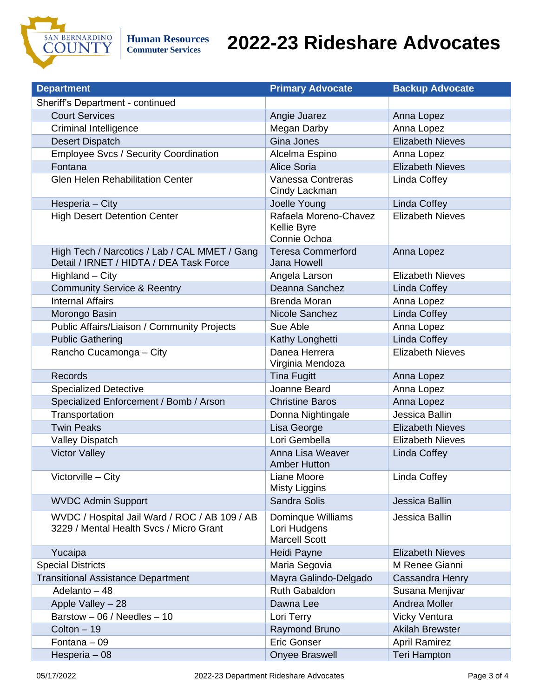

| <b>Department</b>                                                                        | <b>Primary Advocate</b>                                   | <b>Backup Advocate</b>  |
|------------------------------------------------------------------------------------------|-----------------------------------------------------------|-------------------------|
| Sheriff's Department - continued                                                         |                                                           |                         |
| <b>Court Services</b>                                                                    | Angie Juarez                                              | Anna Lopez              |
| Criminal Intelligence                                                                    | Megan Darby                                               | Anna Lopez              |
| <b>Desert Dispatch</b>                                                                   | Gina Jones                                                | <b>Elizabeth Nieves</b> |
| <b>Employee Svcs / Security Coordination</b>                                             | Alcelma Espino                                            | Anna Lopez              |
| Fontana                                                                                  | <b>Alice Soria</b>                                        | <b>Elizabeth Nieves</b> |
| <b>Glen Helen Rehabilitation Center</b>                                                  | Vanessa Contreras<br>Cindy Lackman                        | Linda Coffey            |
| Hesperia - City                                                                          | Joelle Young                                              | Linda Coffey            |
| <b>High Desert Detention Center</b>                                                      | Rafaela Moreno-Chavez<br>Kellie Byre<br>Connie Ochoa      | <b>Elizabeth Nieves</b> |
| High Tech / Narcotics / Lab / CAL MMET / Gang<br>Detail / IRNET / HIDTA / DEA Task Force | <b>Teresa Commerford</b><br>Jana Howell                   | Anna Lopez              |
| Highland - City                                                                          | Angela Larson                                             | <b>Elizabeth Nieves</b> |
| <b>Community Service &amp; Reentry</b>                                                   | Deanna Sanchez                                            | Linda Coffey            |
| <b>Internal Affairs</b>                                                                  | <b>Brenda Moran</b>                                       | Anna Lopez              |
| Morongo Basin                                                                            | Nicole Sanchez                                            | <b>Linda Coffey</b>     |
| Public Affairs/Liaison / Community Projects                                              | Sue Able                                                  | Anna Lopez              |
| <b>Public Gathering</b>                                                                  | Kathy Longhetti                                           | Linda Coffey            |
| Rancho Cucamonga - City                                                                  | Danea Herrera<br>Virginia Mendoza                         | <b>Elizabeth Nieves</b> |
| <b>Records</b>                                                                           | <b>Tina Fugitt</b>                                        | Anna Lopez              |
| <b>Specialized Detective</b>                                                             | Joanne Beard                                              | Anna Lopez              |
| Specialized Enforcement / Bomb / Arson                                                   | <b>Christine Baros</b>                                    | Anna Lopez              |
| Transportation                                                                           | Donna Nightingale                                         | Jessica Ballin          |
| <b>Twin Peaks</b>                                                                        | Lisa George                                               | <b>Elizabeth Nieves</b> |
| <b>Valley Dispatch</b>                                                                   | Lori Gembella                                             | <b>Elizabeth Nieves</b> |
| <b>Victor Valley</b>                                                                     | Anna Lisa Weaver<br><b>Amber Hutton</b>                   | Linda Coffey            |
| Victorville - City                                                                       | Liane Moore<br>Misty Liggins                              | Linda Coffey            |
| <b>WVDC Admin Support</b>                                                                | Sandra Solis                                              | Jessica Ballin          |
| WVDC / Hospital Jail Ward / ROC / AB 109 / AB<br>3229 / Mental Health Svcs / Micro Grant | Dominque Williams<br>Lori Hudgens<br><b>Marcell Scott</b> | Jessica Ballin          |
| Yucaipa                                                                                  | Heidi Payne                                               | <b>Elizabeth Nieves</b> |
| <b>Special Districts</b>                                                                 | Maria Segovia                                             | M Renee Gianni          |
| <b>Transitional Assistance Department</b>                                                | Mayra Galindo-Delgado                                     | Cassandra Henry         |
| Adelanto - 48                                                                            | <b>Ruth Gabaldon</b>                                      | Susana Menjivar         |
| Apple Valley - 28                                                                        | Dawna Lee                                                 | Andrea Moller           |
| Barstow - 06 / Needles - 10                                                              | Lori Terry                                                | <b>Vicky Ventura</b>    |
| Colton - 19                                                                              | Raymond Bruno                                             | <b>Akilah Brewster</b>  |
| Fontana - 09                                                                             | <b>Eric Gonser</b>                                        | <b>April Ramirez</b>    |
| Hesperia - 08                                                                            | Onyee Braswell                                            | <b>Teri Hampton</b>     |